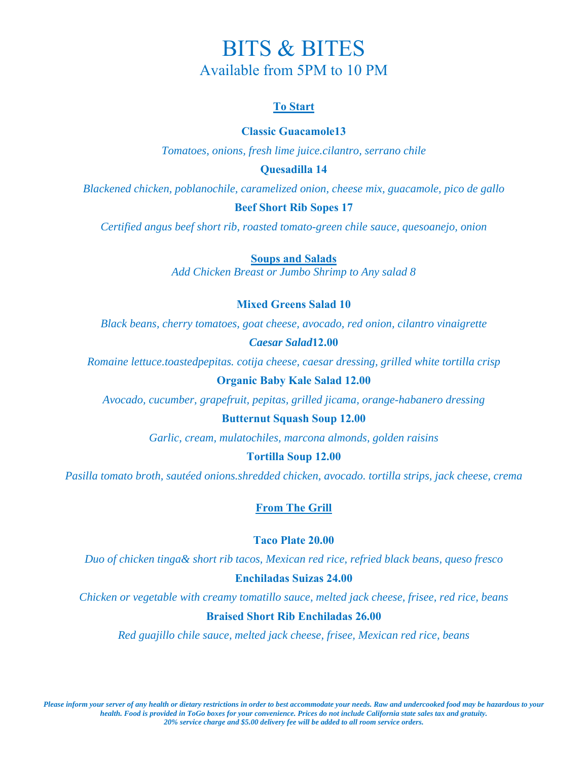# BITS & BITES Available from 5PM to 10 PM

# **To Start**

# **Classic Guacamole13**

*Tomatoes, onions, fresh lime juice.cilantro, serrano chile* 

# **Quesadilla 14**

*Blackened chicken, poblanochile, caramelized onion, cheese mix, guacamole, pico de gallo* 

## **Beef Short Rib Sopes 17**

*Certified angus beef short rib, roasted tomato-green chile sauce, quesoanejo, onion* 

**Soups and Salads**

*Add Chicken Breast or Jumbo Shrimp to Any salad 8* 

# **Mixed Greens Salad 10**

*Black beans, cherry tomatoes, goat cheese, avocado, red onion, cilantro vinaigrette* 

## *Caesar Salad***12.00**

*Romaine lettuce.toastedpepitas. cotija cheese, caesar dressing, grilled white tortilla crisp*

# **Organic Baby Kale Salad 12.00**

*Avocado, cucumber, grapefruit, pepitas, grilled jicama, orange-habanero dressing* 

#### **Butternut Squash Soup 12.00**

*Garlic, cream, mulatochiles, marcona almonds, golden raisins* 

#### **Tortilla Soup 12.00**

*Pasilla tomato broth, sautéed onions.shredded chicken, avocado. tortilla strips, jack cheese, crema* 

# **From The Grill**

## **Taco Plate 20.00**

*Duo of chicken tinga& short rib tacos, Mexican red rice, refried black beans, queso fresco* 

#### **Enchiladas Suizas 24.00**

*Chicken or vegetable with creamy tomatillo sauce, melted jack cheese, frisee, red rice, beans* 

#### **Braised Short Rib Enchiladas 26.00**

*Red guajillo chile sauce, melted jack cheese, frisee, Mexican red rice, beans*